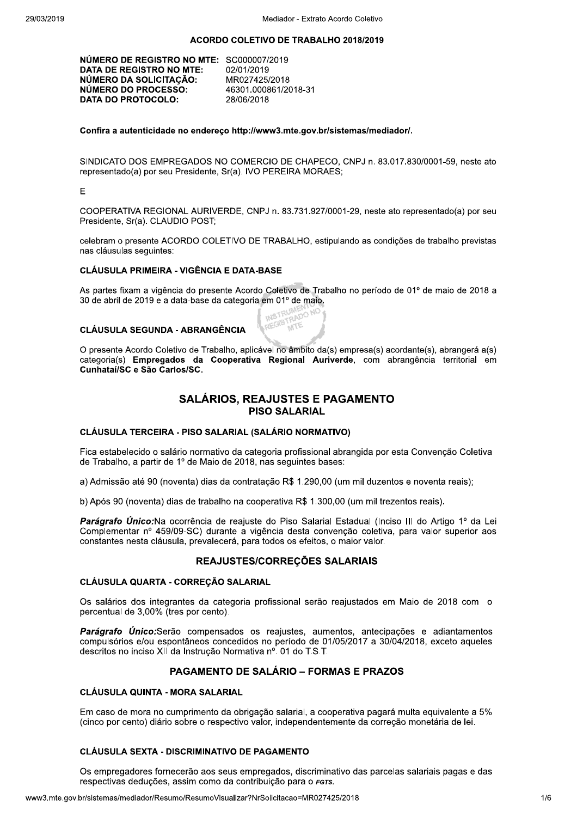#### ACORDO COLETIVO DE TRABALHO 2018/2019

| NÚMERO DE REGISTRO NO MTE: SC000007/2019<br>DATA DE REGISTRO NO MTE:<br>NÚMERO DA SOLICITAÇÃO:<br>NÚMERO DO PROCESSO: | 02/01/2019<br>MR027425/2018<br>46301.000861/2018-31 |
|-----------------------------------------------------------------------------------------------------------------------|-----------------------------------------------------|
|                                                                                                                       |                                                     |
| <b>DATA DO PROTOCOLO:</b>                                                                                             | 28/06/2018                                          |

#### Confira a autenticidade no endereço http://www3.mte.gov.br/sistemas/mediador/.

SINDICATO DOS EMPREGADOS NO COMERCIO DE CHAPECO, CNPJ n. 83.017.830/0001-59, neste ato representado(a) por seu Presidente, Sr(a). IVO PEREIRA MORAES;

#### E

COOPERATIVA REGIONAL AURIVERDE, CNPJ n. 83.731.927/0001-29, neste ato representado(a) por seu Presidente, Sr(a), CLAUDIO POST:

celebram o presente ACORDO COLETIVO DE TRABALHO, estipulando as condições de trabalho previstas nas cláusulas seguintes:

## **CLÁUSULA PRIMEIRA - VIGÊNCIA E DATA-BASE**

As partes fixam a vigência do presente Acordo Coletivo de Trabalho no período de 01º de maio de 2018 a 30 de abril de 2019 e a data-base da categoria em 01º de maio. REGISTRADO NO

### **CLÁUSULA SEGUNDA - ABRANGÊNCIA**



## **SALÁRIOS. REAJUSTES E PAGAMENTO PISO SALARIAL**

### CLÁUSULA TERCEIRA - PISO SALARIAL (SALÁRIO NORMATIVO)

Fica estabelecido o salário normativo da categoria profissional abrangida por esta Convenção Coletiva de Trabalho, a partir de 1º de Maio de 2018, nas seguintes bases:

a) Admissão até 90 (noventa) dias da contratação R\$ 1.290,00 (um mil duzentos e noventa reais);

b) Após 90 (noventa) dias de trabalho na cooperativa R\$ 1.300.00 (um mil trezentos reais).

Parágrafo Único:Na ocorrência de reajuste do Piso Salarial Estadual (Inciso III do Artigo 1º da Lei Complementar nº 459/09-SC) durante a vigência desta convenção coletiva, para valor superior aos constantes nesta cláusula, prevalecerá, para todos os efeitos, o maior valor.

### REAJUSTES/CORREÇÕES SALARIAIS

### CLÁUSULA QUARTA - CORREÇÃO SALARIAL

Os salários dos integrantes da categoria profissional serão reajustados em Maio de 2018 com o percentual de 3,00% (tres por cento).

Parágrafo Único:Serão compensados os reajustes, aumentos, antecipações e adiantamentos compulsórios e/ou espontâneos concedidos no período de 01/05/2017 a 30/04/2018, exceto aqueles descritos no inciso XII da Instrução Normativa nº. 01 do T.S.T.

# **PAGAMENTO DE SALÁRIO - FORMAS E PRAZOS**

### **CLÁUSULA QUINTA - MORA SALARIAL**

Em caso de mora no cumprimento da obrigação salarial, a cooperativa pagará multa equivalente a 5% (cinco por cento) diário sobre o respectivo valor, independentemente da correção monetária de lei.

#### **CLÁUSULA SEXTA - DISCRIMINATIVO DE PAGAMENTO**

Os empregadores fornecerão aos seus empregados, discriminativo das parcelas salariais pagas e das respectivas deduções, assim como da contribuição para o FGTS.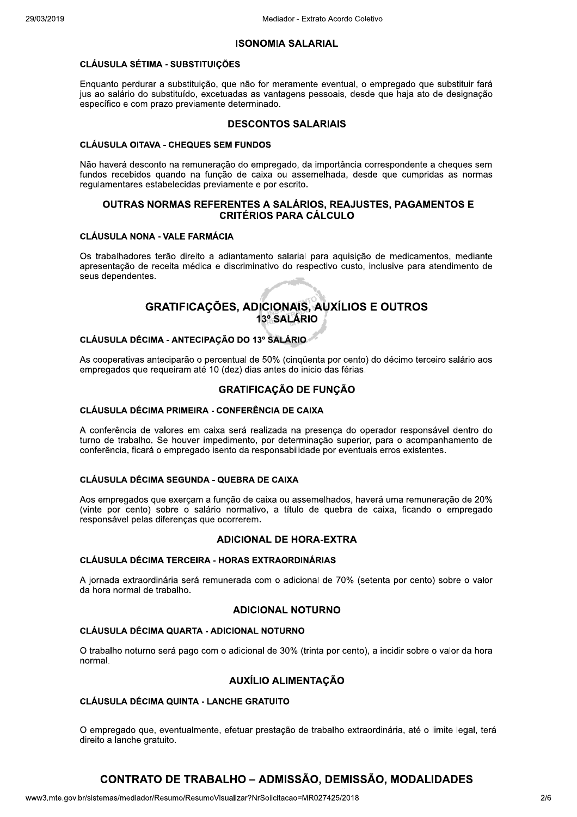#### **ISONOMIA SALARIAL**

### **CLÁUSULA SÉTIMA - SUBSTITUIÇÕES**

Enguanto perdurar a substituição, que não for meramente eventual, o empregado que substituir fará jus ao salário do substituído, excetuadas as vantagens pessoais, desde que haja ato de designação específico e com prazo previamente determinado.

### **DESCONTOS SALARIAIS**

#### **CLÁUSULA OITAVA - CHEQUES SEM FUNDOS**

Não haverá desconto na remuneração do empregado, da importância correspondente a cheques sem fundos recebidos quando na função de caixa ou assemelhada, desde que cumpridas as normas regulamentares estabelecidas previamente e por escrito.

### OUTRAS NORMAS REFERENTES A SALÁRIOS, REAJUSTES, PAGAMENTOS E **CRITÉRIOS PARA CÁLCULO**

#### **CLÁUSULA NONA - VALE FARMÁCIA**

Os trabalhadores terão direito a adiantamento salarial para aguisição de medicamentos, mediante apresentação de receita médica e discriminativo do respectivo custo, inclusive para atendimento de seus dependentes.

# **GRATIFICAÇÕES, ADICIONAIS, AUXÍLIOS E OUTROS** 13º SALÁRIO

## CLÁUSULA DÉCIMA - ANTECIPAÇÃO DO 13º SALÁRIO

As cooperativas anteciparão o percentual de 50% (cinqüenta por cento) do décimo terceiro salário aos empregados que requeiram até 10 (dez) dias antes do inicio das férias.

## **GRATIFICAÇÃO DE FUNÇÃO**

### CLÁUSULA DÉCIMA PRIMEIRA - CONFERÊNCIA DE CAIXA

A conferência de valores em caixa será realizada na presença do operador responsável dentro do turno de trabalho. Se houver impedimento, por determinação superior, para o acompanhamento de conferência, ficará o empregado isento da responsabilidade por eventuais erros existentes.

#### **CLÁUSULA DÉCIMA SEGUNDA - QUEBRA DE CAIXA**

Aos empregados que exerçam a função de caixa ou assemelhados, haverá uma remuneração de 20% (vinte por cento) sobre o salário normativo, a título de quebra de caixa, ficando o empregado responsável pelas diferenças que ocorrerem.

### **ADICIONAL DE HORA-EXTRA**

### CLÁUSULA DÉCIMA TERCEIRA - HORAS EXTRAORDINÁRIAS

A iornada extraordinária será remunerada com o adicional de 70% (setenta por cento) sobre o valor da hora normal de trabalho.

### **ADICIONAL NOTURNO**

### CLÁUSULA DÉCIMA QUARTA - ADICIONAL NOTURNO

O trabalho noturno será pago com o adicional de 30% (trinta por cento), a incidir sobre o valor da hora normal.

## **AUXÍLIO ALIMENTACÃO**

### **CLÁUSULA DÉCIMA QUINTA - LANCHE GRATUITO**

O empregado que, eventualmente, efetuar prestação de trabalho extraordinária, até o limite legal, terá direito a lanche gratuito.

# **CONTRATO DE TRABALHO - ADMISSÃO, DEMISSÃO, MODALIDADES**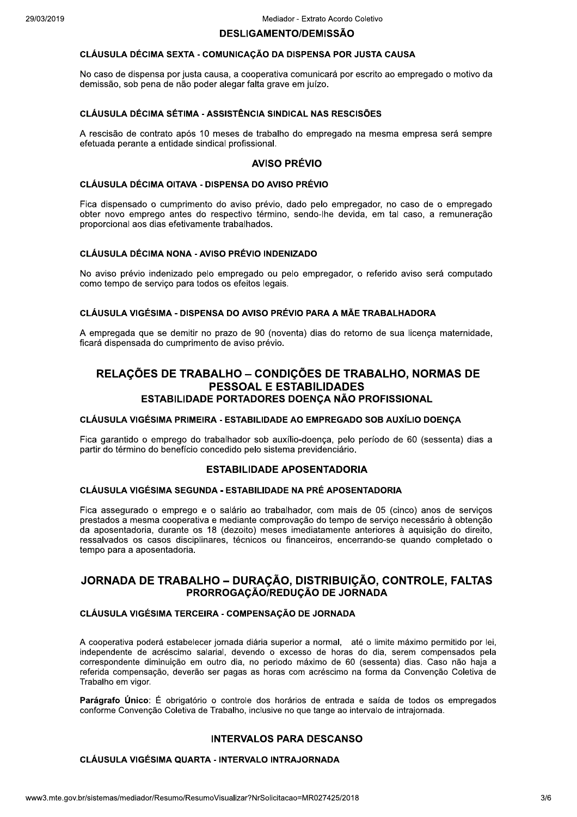#### **DESLIGAMENTO/DEMISSÃO**

### CLÁUSULA DÉCIMA SEXTA - COMUNICAÇÃO DA DISPENSA POR JUSTA CAUSA

No caso de dispensa por justa causa, a cooperativa comunicará por escrito ao empregado o motivo da demissão, sob pena de não poder alegar falta grave em juízo.

## CLÁUSULA DÉCIMA SÉTIMA - ASSISTÊNCIA SINDICAL NAS RESCISÕES

A rescisão de contrato após 10 meses de trabalho do empregado na mesma empresa será sempre efetuada perante a entidade sindical profissional.

### **AVISO PRÉVIO**

#### CLÁUSULA DÉCIMA OITAVA - DISPENSA DO AVISO PRÉVIO

Fica dispensado o cumprimento do aviso prévio, dado pelo empregador, no caso de o empregado obter novo emprego antes do respectivo término, sendo-lhe devida, em tal caso, a remuneração proporcional aos dias efetivamente trabalhados.

#### **CLÁUSULA DÉCIMA NONA - AVISO PRÉVIO INDENIZADO**

No aviso prévio indenizado pelo empregado ou pelo empregador, o referido aviso será computado como tempo de servico para todos os efeitos legais.

### CLÁUSULA VIGÉSIMA - DISPENSA DO AVISO PRÉVIO PARA A MÃE TRABALHADORA

A empregada que se demitir no prazo de 90 (noventa) dias do retorno de sua licença maternidade, ficará dispensada do cumprimento de aviso prévio.

# RELAÇÕES DE TRABALHO – CONDIÇÕES DE TRABALHO, NORMAS DE **PESSOAL E ESTABILIDADES** ESTABILIDADE PORTADORES DOENÇA NÃO PROFISSIONAL

### CLÁUSULA VIGÉSIMA PRIMEIRA - ESTABILIDADE AO EMPREGADO SOB AUXÍLIO DOENÇA

Fica garantido o emprego do trabalhador sob auxílio-doença, pelo período de 60 (sessenta) dias a partir do término do benefício concedido pelo sistema previdenciário.

### **ESTABILIDADE APOSENTADORIA**

### CLÁUSULA VIGÉSIMA SEGUNDA - ESTABILIDADE NA PRÉ APOSENTADORIA

Fica assegurado o emprego e o salário ao trabalhador, com mais de 05 (cinco) anos de serviços prestados a mesma cooperativa e mediante comprovação do tempo de serviço necessário à obtenção da aposentadoria, durante os 18 (dezoito) meses imediatamente anteriores à aquisição do direito, ressalvados os casos disciplinares, técnicos ou financeiros, encerrando-se quando completado o tempo para a aposentadoria.

## JORNADA DE TRABALHO - DURAÇÃO, DISTRIBUIÇÃO, CONTROLE, FALTAS PRORROGACÃO/REDUCÃO DE JORNADA

### CLÁUSULA VIGÉSIMA TERCEIRA - COMPENSACÃO DE JORNADA

A cooperativa poderá estabelecer jornada diária superior a normal, até o limite máximo permitido por lei, independente de acréscimo salarial, devendo o excesso de horas do dia, serem compensados pela correspondente diminuição em outro dia, no periodo máximo de 60 (sessenta) dias. Caso não haja a referida compensação, deverão ser pagas as horas com acréscimo na forma da Convenção Coletiva de Trabalho em vigor.

Parágrafo Único: É obrigatório o controle dos horários de entrada e saída de todos os empregados conforme Convenção Coletiva de Trabalho, inclusive no que tange ao intervalo de intraiornada.

### **INTERVALOS PARA DESCANSO**

### **CLÁUSULA VIGÉSIMA QUARTA - INTERVALO INTRAJORNADA**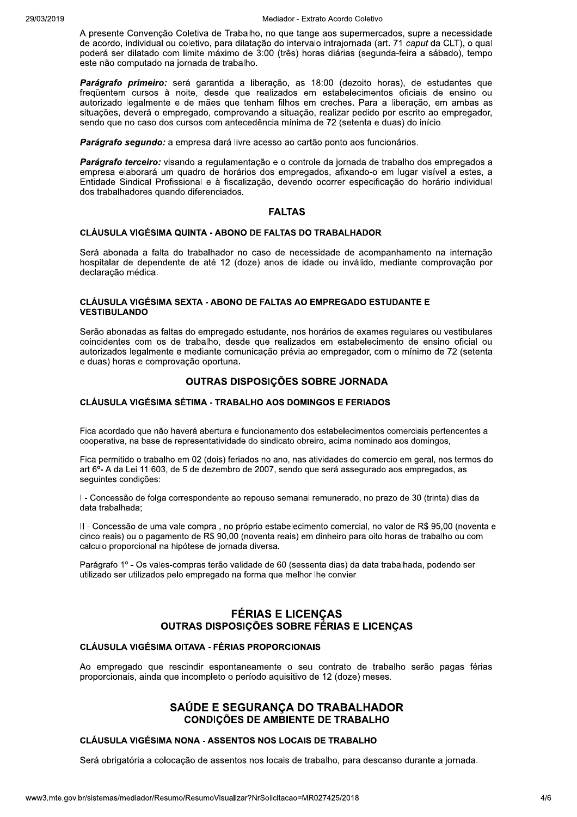A presente Convenção Coletiva de Trabalho, no que tange aos supermercados, supre a necessidade de acordo, individual ou coletivo, para dilatação do intervalo intrajornada (art. 71 caput da CLT), o qual poderá ser dilatado com limite máximo de 3:00 (três) horas diárias (segunda-feira a sábado), tempo este não computado na jornada de trabalho.

Parágrafo primeiro: será garantida a liberação, as 18:00 (dezoito horas), de estudantes que frequentem cursos à noite, desde que realizados em estabelecimentos oficiais de ensino ou autorizado legalmente e de mães que tenham filhos em creches. Para a liberação, em ambas as situações, deverá o empregado, comprovando a situação, realizar pedido por escrito ao empregador, sendo que no caso dos cursos com antecedência mínima de 72 (setenta e duas) do início.

Parágrafo segundo: a empresa dará livre acesso ao cartão ponto aos funcionários.

Parágrafo terceiro: visando a regulamentação e o controle da jornada de trabalho dos empregados a empresa elaborará um quadro de horários dos empregados, afixando-o em lugar visível a estes, a Entidade Sindical Profissional e à fiscalização, devendo ocorrer especificação do horário individual dos trabalhadores quando diferenciados.

### **FALTAS**

### CLÁUSULA VIGÉSIMA QUINTA - ABONO DE FALTAS DO TRABALHADOR

Será abonada a falta do trabalhador no caso de necessidade de acompanhamento na internação hospitalar de dependente de até 12 (doze) anos de idade ou inválido, mediante comprovação por declaração médica.

### CLÁUSULA VIGÉSIMA SEXTA - ABONO DE FALTAS AO EMPREGADO ESTUDANTE E **VESTIBULANDO**

Serão abonadas as faltas do empregado estudante, nos horários de exames regulares ou vestibulares coincidentes com os de trabalho, desde que realizados em estabelecimento de ensino oficial ou autorizados legalmente e mediante comunicação prévia ao empregador, com o mínimo de 72 (setenta e duas) horas e comprovação oportuna.

## OUTRAS DISPOSIÇÕES SOBRE JORNADA

### **CLÁUSULA VIGÉSIMA SÉTIMA - TRABALHO AOS DOMINGOS E FERIADOS**

Fica acordado que não haverá abertura e funcionamento dos estabelecimentos comerciais pertencentes a cooperativa, na base de representatividade do sindicato obreiro, acima nominado aos domingos,

Fica permitido o trabalho em 02 (dois) feriados no ano, nas atividades do comercio em geral, nos termos do art 6<sup>o</sup>- A da Lei 11.603, de 5 de dezembro de 2007, sendo que será assegurado aos empregados, as seguintes condições:

I - Concessão de folga correspondente ao repouso semanal remunerado, no prazo de 30 (trinta) dias da data trabalhada:

II - Concessão de uma vale compra, no próprio estabelecimento comercial, no valor de R\$ 95,00 (noventa e cinco reais) ou o pagamento de R\$ 90,00 (noventa reais) em dinheiro para oito horas de trabalho ou com calculo proporcional na hipótese de jornada diversa.

Parágrafo 1º - Os vales-compras terão validade de 60 (sessenta dias) da data trabalhada, podendo ser utilizado ser utilizados pelo empregado na forma que melhor lhe convier.

# **FÉRIAS E LICENÇAS OUTRAS DISPOSICÕES SOBRE FÉRIAS E LICENCAS**

## CLÁUSULA VIGÉSIMA OITAVA - FÉRIAS PROPORCIONAIS

Ao empregado que rescindir espontaneamente o seu contrato de trabalho serão pagas férias proporcionais, ainda que incompleto o período aquisitivo de 12 (doze) meses.

## SAÚDE E SEGURANCA DO TRABALHADOR **CONDIÇÕES DE AMBIENTE DE TRABALHO**

### CLÁUSULA VIGÉSIMA NONA - ASSENTOS NOS LOCAIS DE TRABALHO

Será obrigatória a colocação de assentos nos locais de trabalho, para descanso durante a jornada.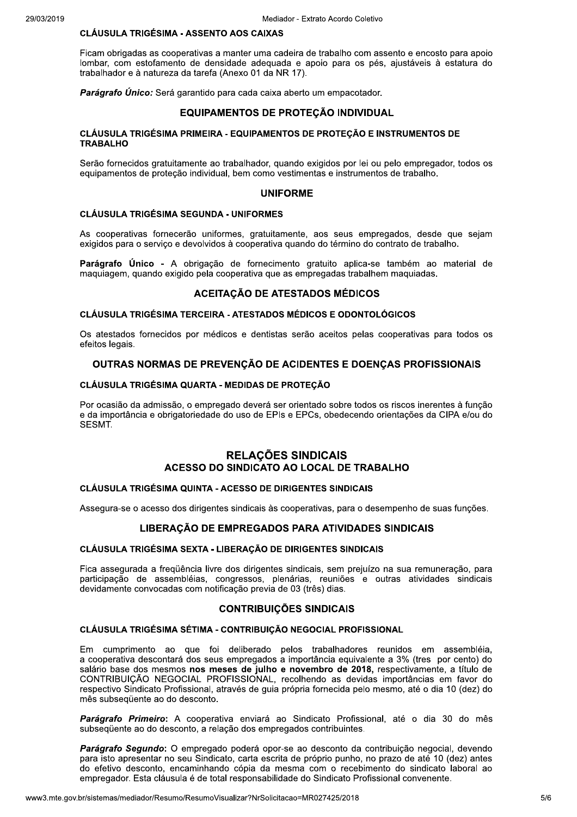## **CLÁUSULA TRIGÉSIMA - ASSENTO AOS CAIXAS**

Ficam obrigadas as cooperativas a manter uma cadeira de trabalho com assento e encosto para apoio lombar, com estofamento de densidade adequada e apoio para os pés, ajustáveis à estatura do trabalhador e à natureza da tarefa (Anexo 01 da NR 17).

Parágrafo Único: Será garantido para cada caixa aberto um empacotador.

### **EQUIPAMENTOS DE PROTECÃO INDIVIDUAL**

### CLÁUSULA TRIGÉSIMA PRIMEIRA - EQUIPAMENTOS DE PROTEÇÃO E INSTRUMENTOS DE **TRABALHO**

Serão fornecidos gratuitamente ao trabalhador, quando exigidos por lei ou pelo empregador, todos os equipamentos de proteção individual, bem como vestimentas e instrumentos de trabalho.

## **UNIFORME**

### **CLÁUSULA TRIGÉSIMA SEGUNDA - UNIFORMES**

As cooperativas fornecerão uniformes, gratuitamente, aos seus empregados, desde que sejam exigidos para o serviço e devolvidos à cooperativa quando do término do contrato de trabalho.

Parágrafo Único - A obrigação de fornecimento gratuito aplica-se também ao material de maguiagem, quando exigido pela cooperativa que as empregadas trabalhem maguiadas.

### **ACEITACÃO DE ATESTADOS MÉDICOS**

### **CLÁUSULA TRIGÉSIMA TERCEIRA - ATESTADOS MÉDICOS E ODONTOLÓGICOS**

Os atestados fornecidos por médicos e dentistas serão aceitos pelas cooperativas para todos os efeitos legais.

### OUTRAS NORMAS DE PREVENÇÃO DE ACIDENTES E DOENÇAS PROFISSIONAIS

#### CLÁUSULA TRIGÉSIMA QUARTA - MEDIDAS DE PROTEÇÃO

Por ocasião da admissão, o empregado deverá ser orientado sobre todos os riscos inerentes à função e da importância e obrigatoriedade do uso de EPIs e EPCs, obedecendo orientações da CIPA e/ou do SESMT.

## **RELAÇÕES SINDICAIS** ACESSO DO SINDICATO AO LOCAL DE TRABALHO

#### **CLÁUSULA TRIGÉSIMA QUINTA - ACESSO DE DIRIGENTES SINDICAIS**

Assegura-se o acesso dos dirigentes sindicais às cooperativas, para o desempenho de suas funções.

#### LIBERAÇÃO DE EMPREGADOS PARA ATIVIDADES SINDICAIS

#### CLÁUSULA TRIGÉSIMA SEXTA - LIBERAÇÃO DE DIRIGENTES SINDICAIS

Fica assegurada a fregüência livre dos dirigentes sindicais, sem prejuízo na sua remuneração, para participação de assembléias, congressos, plenárias, reuniões e outras atividades sindicais devidamente convocadas com notificação previa de 03 (três) dias.

### **CONTRIBUIÇÕES SINDICAIS**

#### CLÁUSULA TRIGÉSIMA SÉTIMA - CONTRIBUIÇÃO NEGOCIAL PROFISSIONAL

Em cumprimento ao que foi deliberado pelos trabalhadores reunidos em assembléia, a cooperativa descontará dos seus empregados a importância equivalente a 3% (tres por cento) do salário base dos mesmos nos meses de julho e novembro de 2018, respectivamente, a título de CONTRIBUIÇÃO NEGOCIAL PROFISSIONAL, recolhendo as devidas importâncias em favor do respectivo Sindicato Profissional, através de quia própria fornecida pelo mesmo, até o dia 10 (dez) do mês subsequente ao do desconto.

Parágrafo Primeiro: A cooperativa enviará ao Sindicato Profissional, até o dia 30 do mês subsequente ao do desconto, a relação dos empregados contribuintes.

Parágrafo Segundo: O empregado poderá opor-se ao desconto da contribuição negocial, devendo para isto apresentar no seu Sindicato, carta escrita de próprio punho, no prazo de até 10 (dez) antes do efetivo desconto, encaminhando cópia da mesma com o recebimento do sindicato laboral ao empregador. Esta cláusula é de total responsabilidade do Sindicato Profissional convenente.